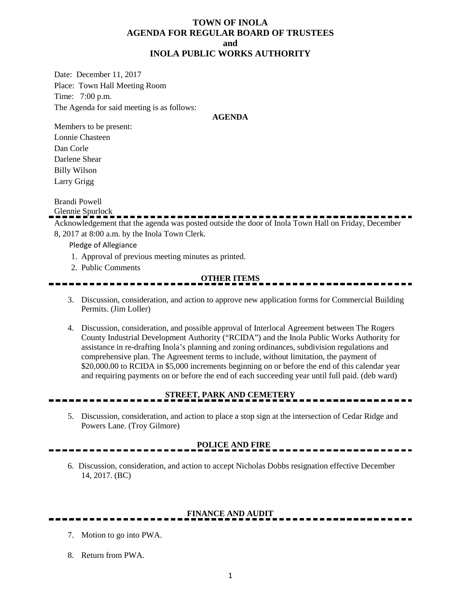### **TOWN OF INOLA AGENDA FOR REGULAR BOARD OF TRUSTEES and INOLA PUBLIC WORKS AUTHORITY**

Date: December 11, 2017 Place: Town Hall Meeting Room Time: 7:00 p.m. The Agenda for said meeting is as follows:

#### **AGENDA**

Members to be present: Lonnie Chasteen Dan Corle Darlene Shear Billy Wilson Larry Grigg

Brandi Powell

Glennie Spurlock

Acknowledgement that the agenda was posted outside the door of Inola Town Hall on Friday, December 8, 2017 at 8:00 a.m. by the Inola Town Clerk.

Pledge of Allegiance

- 1. Approval of previous meeting minutes as printed.
- 2. Public Comments

#### **OTHER ITEMS**

- 3. Discussion, consideration, and action to approve new application forms for Commercial Building Permits. (Jim Loller)
- 4. Discussion, consideration, and possible approval of Interlocal Agreement between The Rogers County Industrial Development Authority ("RCIDA") and the Inola Public Works Authority for assistance in re-drafting Inola's planning and zoning ordinances, subdivision regulations and comprehensive plan. The Agreement terms to include, without limitation, the payment of \$20,000.00 to RCIDA in \$5,000 increments beginning on or before the end of this calendar year and requiring payments on or before the end of each succeeding year until full paid. (deb ward)

# **STREET, PARK AND CEMETERY**

5. Discussion, consideration, and action to place a stop sign at the intersection of Cedar Ridge and Powers Lane. (Troy Gilmore)

#### **POLICE AND FIRE**

6. Discussion, consideration, and action to accept Nicholas Dobbs resignation effective December 14, 2017. (BC)

# **FINANCE AND AUDIT**

- 7. Motion to go into PWA.
- 8. Return from PWA.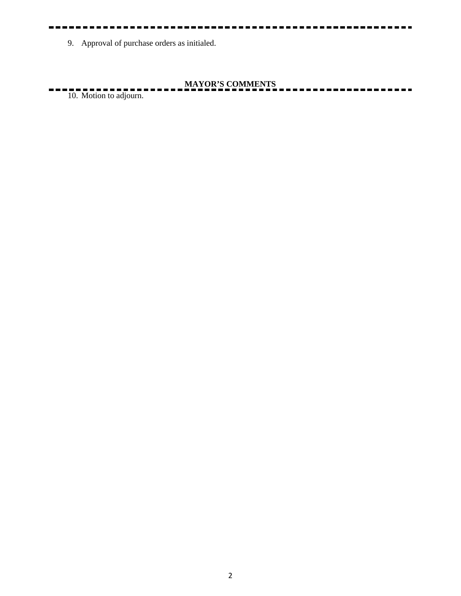9. Approval of purchase orders as initialed.

**MAYOR'S COMMENTS**

10. Motion to adjourn.